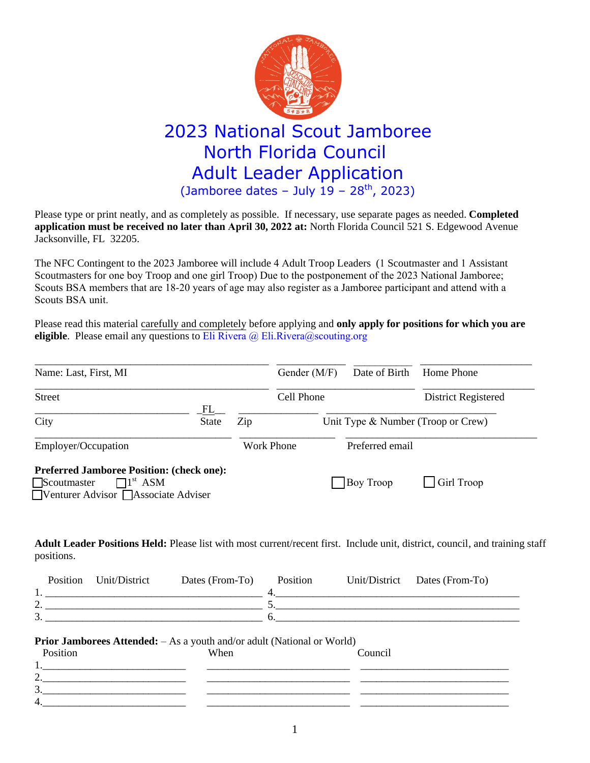

## 2023 National Scout Jamboree North Florida Council Adult Leader Application  $($ Jamboree dates - July 19 - 28<sup>th</sup>, 2023)

Please type or print neatly, and as completely as possible. If necessary, use separate pages as needed. **Completed application must be received no later than April 30, 2022 at:** North Florida Council 521 S. Edgewood Avenue Jacksonville, FL 32205.

The NFC Contingent to the 2023 Jamboree will include 4 Adult Troop Leaders (1 Scoutmaster and 1 Assistant Scoutmasters for one boy Troop and one girl Troop) Due to the postponement of the 2023 National Jamboree; Scouts BSA members that are 18-20 years of age may also register as a Jamboree participant and attend with a Scouts BSA unit.

Please read this material carefully and completely before applying and **only apply for positions for which you are eligible**. Please email any questions to Eli Rivera @ Eli.Rivera@scouting.org

| Name: Last, First, MI                                                                                                                  | Gender (M/F) | Date of Birth                      | Home Phone          |
|----------------------------------------------------------------------------------------------------------------------------------------|--------------|------------------------------------|---------------------|
| <b>Street</b>                                                                                                                          | Cell Phone   |                                    | District Registered |
| FL.<br>City<br><b>State</b>                                                                                                            | Zip          | Unit Type & Number (Troop or Crew) |                     |
| Employer/Occupation                                                                                                                    | Work Phone   | Preferred email                    |                     |
| <b>Preferred Jamboree Position: (check one):</b><br>Scoutmaster<br>$\Box$ <sup>1st</sup> ASM<br>■ Venturer Advisor ■ Associate Adviser |              | Boy Troop                          | $\Box$ Girl Troop   |

**Adult Leader Positions Held:** Please list with most current/recent first. Include unit, district, council, and training staff positions.

|   | Position | Unit/District | Dates (From-To) | Position | Unit/District Dates (From-To) |
|---|----------|---------------|-----------------|----------|-------------------------------|
|   |          |               |                 |          |                               |
| , |          |               |                 |          |                               |
| ◡ |          |               |                 |          |                               |

## **Prior Jamborees Attended:**  $-$  As a youth and/or adult (National or World)

| Position        | When | Council |  |
|-----------------|------|---------|--|
|                 |      |         |  |
| $\sim$<br>∼     |      |         |  |
| $\sqrt{2}$<br>້ |      |         |  |
| -4.             |      |         |  |